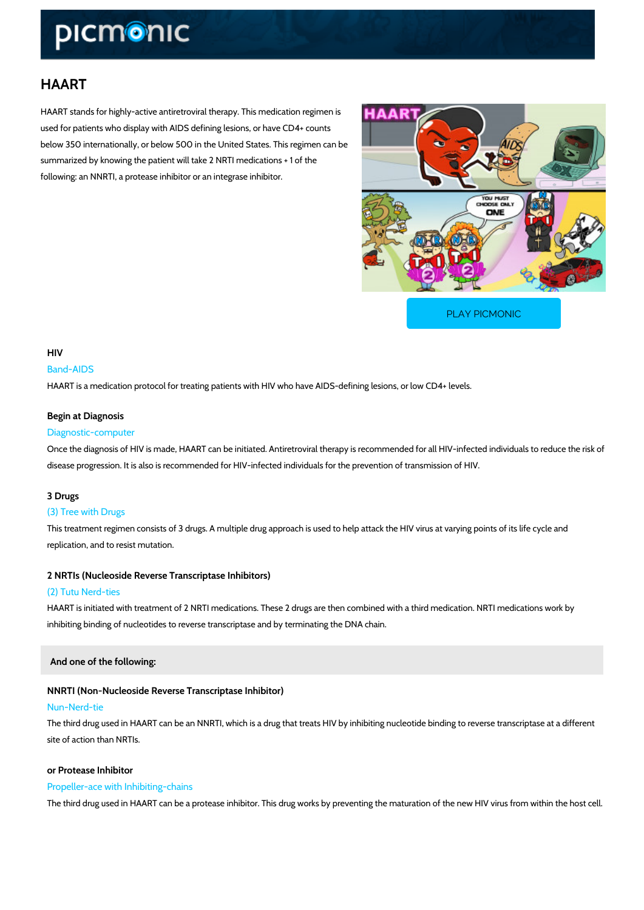# HAART

HAART stands for highly-active antiretroviral therapy. This medication regimen is used for patients who display with AIDS defining lesions, or have CD4+ counts below 350 internationally, or below 500 in the United States. This regimen can be summarized by knowing the patient will take 2 NRTI medications + 1 of the following: an NNRTI, a protease inhibitor or an integrase inhibitor.

[PLAY PICMONIC](https://www.picmonic.com/learn/haart_1827?utm_source=downloadable_content&utm_medium=distributedcontent&utm_campaign=pathways_pdf&utm_content=HAART&utm_ad_group=leads&utm_market=all)

## HIV

#### Band-AIDS

HAART is a medication protocol for treating patients with HIV who have AIDS-defining lesions

# Begin at Diagnosis

#### Diagnostic-computer

Once the diagnosis of HIV is made, HAART can be initiated. Antiretroviral therapy is recomme disease progression. It is also is recommended for HIV-infected individuals for the prevention

# 3 Drugs

#### (3) Tree with Drugs

This treatment regimen consists of 3 drugs. A multiple drug approach is used to help attack the replication, and to resist mutation.

2 NRTIs (Nucleoside Reverse Transcriptase Inhibitors)

#### (2) Tutu Nerd-ties

HAART is initiated with treatment of 2 NRTI medications. These 2 drugs are then combined wi inhibiting binding of nucleotides to reverse transcriptase and by terminating the DNA chain.

And one of the following:

## NNRTI (Non-Nucleoside Reverse Transcriptase Inhibitor)

#### Nun-Nerd-tie

The third drug used in HAART can be an NNRTI, which is a drug that treats HIV by inhibiting i site of action than NRTIs.

#### or Protease Inhibitor

#### Propeller-ace with Inhibiting-chains

The third drug used in HAART can be a protease inhibitor. This drug works by preventing the